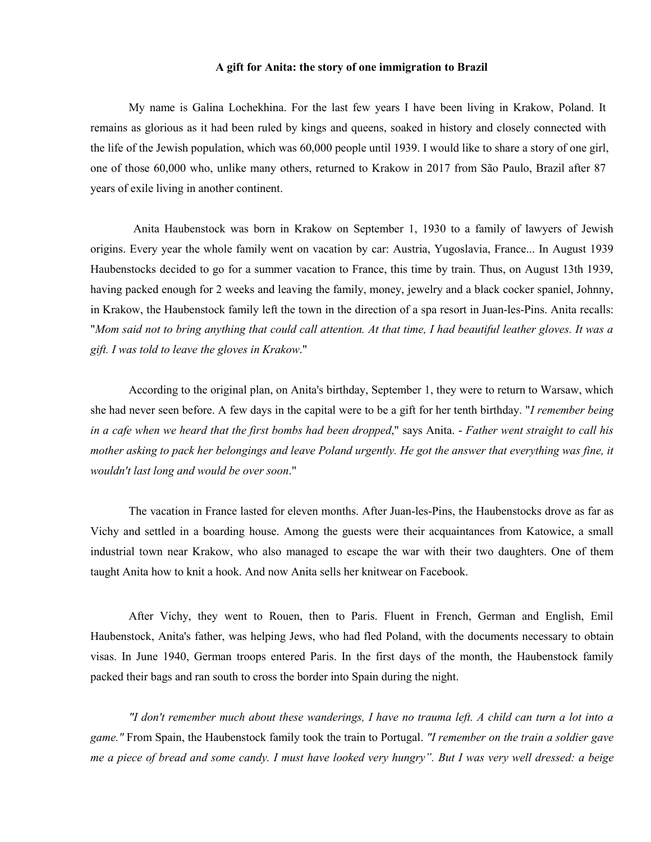## **A gift for Anita: the story of one immigration toBrazil**

My name isGalina Lochekhina. For the last few years I have been living in Krakow, Poland. It remains as glorious as it had been ruled by kings and queens, soaked in history and closely connected with the life of the Jewish population, which was 60,000 people until 1939. I would like to share a story of one girl, one of those 60,000 who, unlike many others, returned to Krakow in 2017 from São Paulo, Brazil after 87 years of exile living in another continent.

Anita Haubenstock was born in Krakow on September 1, 1930 to a family of lawyers of Jewish origins. Every year the whole family went on vacation by car: Austria, Yugoslavia, France... In August 1939 Haubenstocks decided to go for a summer vacation to France, this time by train. Thus, on August 13th 1939, having packed enough for 2 weeks and leaving the family, money, jewelry and a black cocker spaniel, Johnny, in Krakow, the Haubenstock family left the town in the direction of a spa resort in Juan-les-Pins. Anita recalls:<br>"Mom said not to bring anything that could call attention. At that time, I had beautiful leather gloves. It *gift. I was told to leave the gloves in Krakow*."

According to the original plan, on Anita's birthday, September 1, they were to return to Warsaw, which she had never seen before. A few days in the capital were to be a gift for her tenth birthday. "*I remember being* in a cafe when we heard that the first bombs had been dropped," says Anita. - Father went straight to call his mother asking to pack her belongings and leave Poland urgently. He got the answer that everything was fine, it *wouldn't last long and would be over soon*."

The vacation in France lasted for eleven months. After Juan-les-Pins, the Haubenstocks drove as far as Vichy and settled in a boarding house. Among the guests were their acquaintances from Katowice, a small industrial town near Krakow, who also managed to escape the war with their two daughters. One of them taught Anita how to knit a hook. And now Anita sells her knitwear on Facebook.

After Vichy, they went to Rouen, then to Paris. Fluent in French, German and English, Emil Haubenstock, Anita's father, was helping Jews, who had fled Poland, with the documents necessary to obtain visas. In June 1940, German troops entered Paris. In the first days of the month, the Haubenstock family packed their bags and ran south to cross the border into Spain during the night.

"I don't remember much about these wanderings, I have no trauma left. A child can turn a lot into a *game."* From Spain, the Haubenstock family took the train to Portugal. *"I remember on the train a soldier gave* me a piece of bread and some candy. I must have looked very hungry". But I was very well dressed: a beige